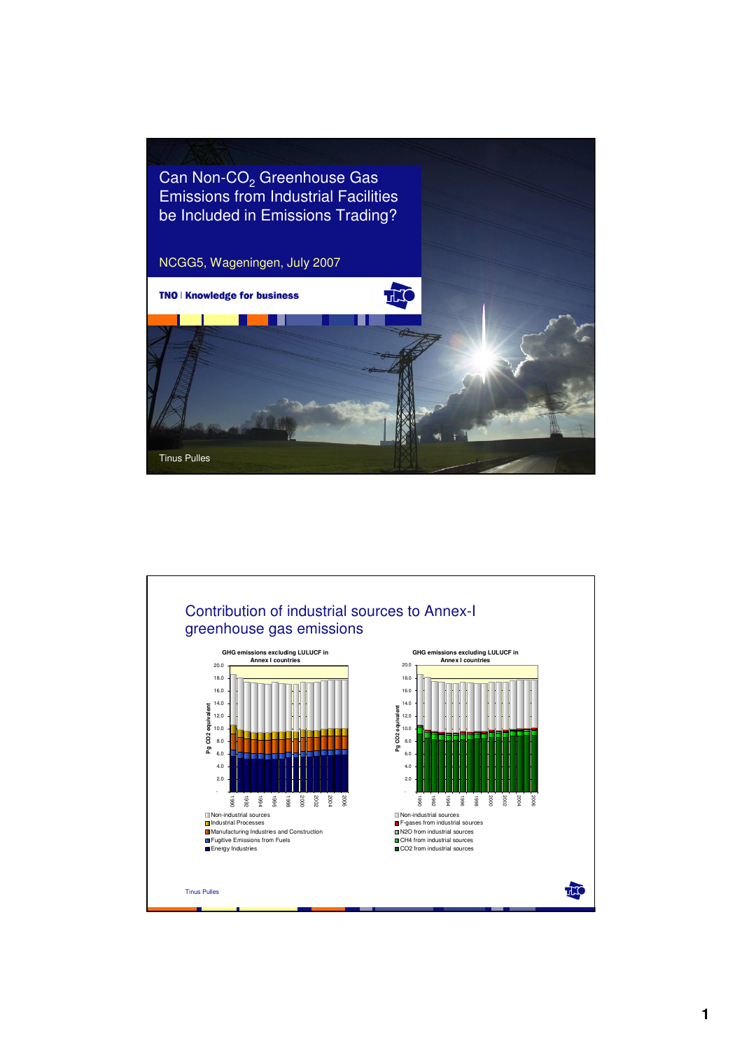

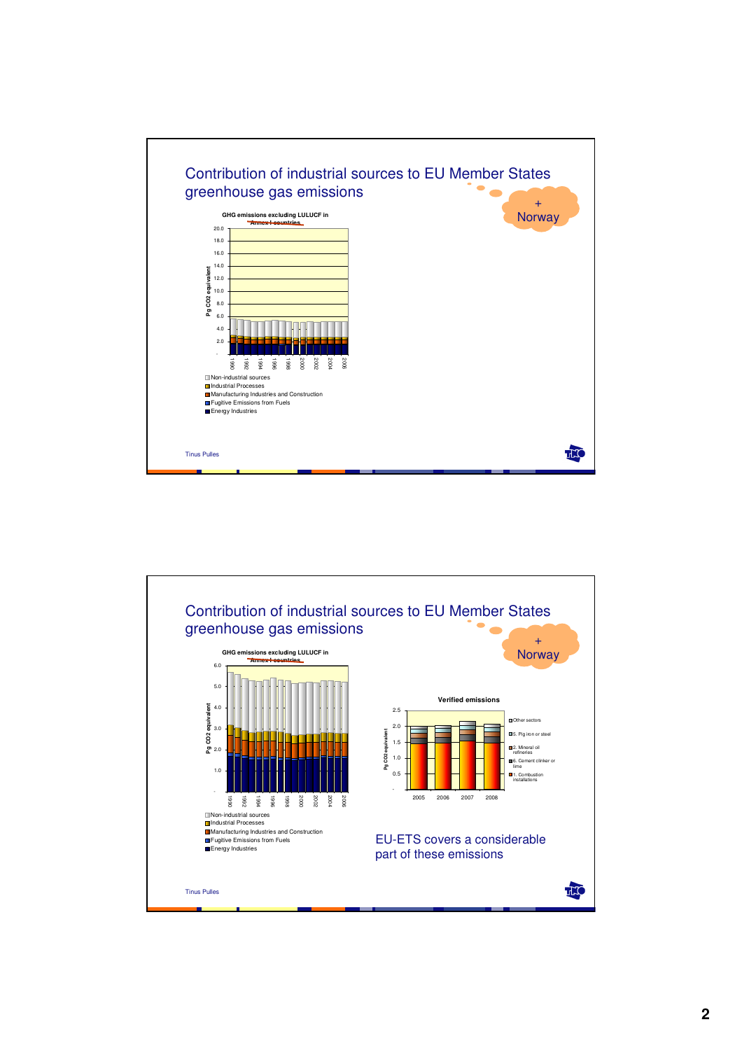

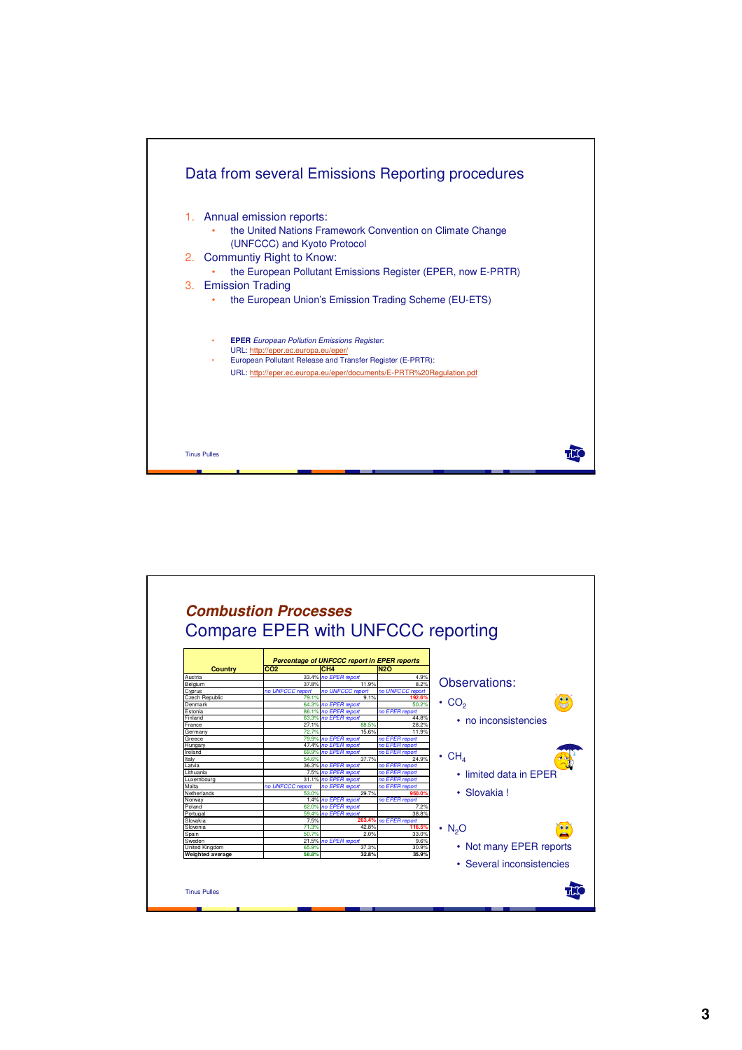

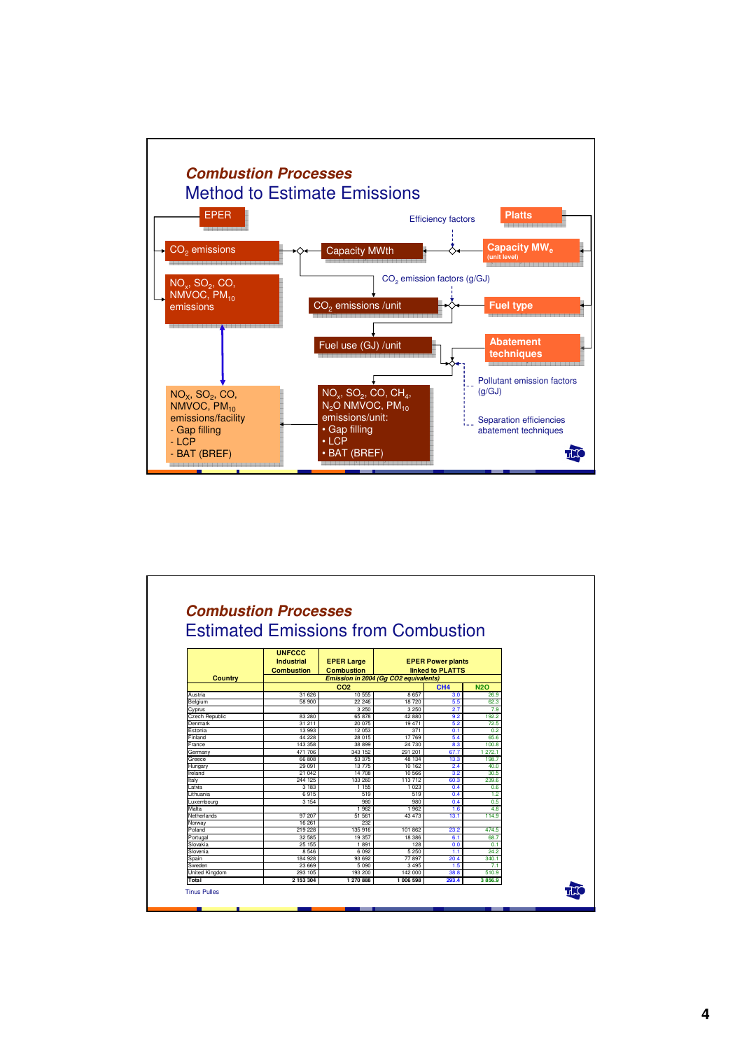

|                       |                    | <b>Estimated Emissions from Combustion</b> |                                              |                 |               |  |  |
|-----------------------|--------------------|--------------------------------------------|----------------------------------------------|-----------------|---------------|--|--|
|                       |                    |                                            |                                              |                 |               |  |  |
|                       | <b>UNFCCC</b>      | <b>EPER Large</b><br><b>Combustion</b>     | <b>EPER Power plants</b><br>linked to PLATTS |                 |               |  |  |
|                       | <b>Industrial</b>  |                                            |                                              |                 |               |  |  |
|                       | <b>Combustion</b>  |                                            |                                              |                 |               |  |  |
| <b>Country</b>        |                    | Emission in 2004 (Gq CO2 equivalents)      |                                              |                 |               |  |  |
|                       |                    | CO <sub>2</sub>                            |                                              | CH <sub>4</sub> | <b>N2O</b>    |  |  |
| Austria               | 31 626             | 10 555                                     | 8.657                                        | 3.0             | 26.9          |  |  |
| Belgium               | 58 900             | 22 246                                     | 18 720                                       | 5.5             | 62.3          |  |  |
| Cyprus                |                    | 3 2 5 0                                    | 3 2 5 0                                      | 2.7             | 7.9           |  |  |
| <b>Czech Republic</b> | 83 280             | 65 878                                     | 42880                                        | 9.2             | 192.2         |  |  |
| Denmark               | 31 211             | 20 075                                     | 19 471                                       | 5.2             | 72.5          |  |  |
| Estonia               | 13 993             | 12 053                                     | 371                                          | 0.1             | 0.2           |  |  |
| Finland               | 44 228             | 28 015                                     | 17 769                                       | 5.4             | 65.6          |  |  |
| France                | 143 358            | 38 899                                     | 24 730                                       | 8.3             | 100.8         |  |  |
| Germany               | 471 706            | 343 152                                    | 291 201                                      | 67.7            | 1 272.1       |  |  |
| Greece                | 66 808             | 53 375                                     | 48 134                                       | 13.3            | 198.7         |  |  |
| Hungary               | 29 091             | 13 775                                     | 10 162                                       | 2.4             | 40.0          |  |  |
| Ireland               | 21 042             | 14 708                                     | 10 566                                       | 3.2             | 30.5          |  |  |
| Italy                 | 244 125            | 133 260                                    | 113 712                                      | 60.3            | 239.6         |  |  |
| atvia                 | 3 1 8 3            | 1 1 5 5                                    | 1 0 2 3                                      | 0.4             | 0.6           |  |  |
| Lithuania             | 6915               | 519                                        | 519                                          | 0.4             | 1.2           |  |  |
| Luxembourg            | 3 1 5 4            | 980                                        | 980                                          | 0.4             | 0.5           |  |  |
| Malta                 |                    | 1962                                       | 1 9 6 2                                      | 1.6             | 4.8           |  |  |
| Netherlands           | 97 207             | 51 561                                     | 43 473                                       | 13.1            | 114.9         |  |  |
| Norway                | 16 26 1<br>219 228 | 232<br>135 916                             |                                              |                 |               |  |  |
| Poland<br>Portugal    | 32 585             | 19 357                                     | 101 862<br>18 3 86                           | 23.2<br>6.1     | 474.5<br>68.7 |  |  |
| Slovakia              | 25 155             | 1891                                       | 128                                          | 0.0             | 0.1           |  |  |
| Slovenia              | 8 5 4 6            | 6 0 9 2                                    | 5 2 5 0                                      | 1.1             | 24.2          |  |  |
| Spain                 | 184 928            | 93 692                                     | 77 897                                       | 20.4            | 340.1         |  |  |
| Sweden                | 23 669             | 5 0 9 0                                    | 3 4 9 5                                      | 1.5             | 7.1           |  |  |
| United Kingdom        | 293 105            | 193 200                                    | 142 000                                      | 38.8            | 510.9         |  |  |
| Total                 | 2 153 304          | 1 270 888                                  | 1 006 598                                    | 293.4           | 3856.9        |  |  |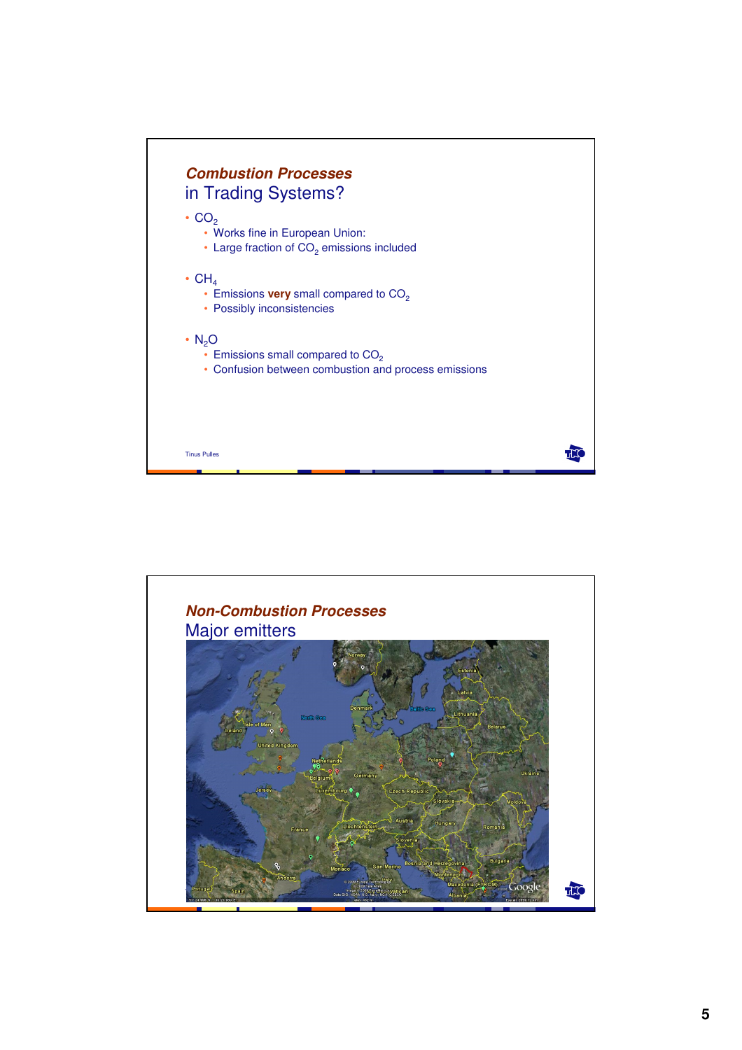

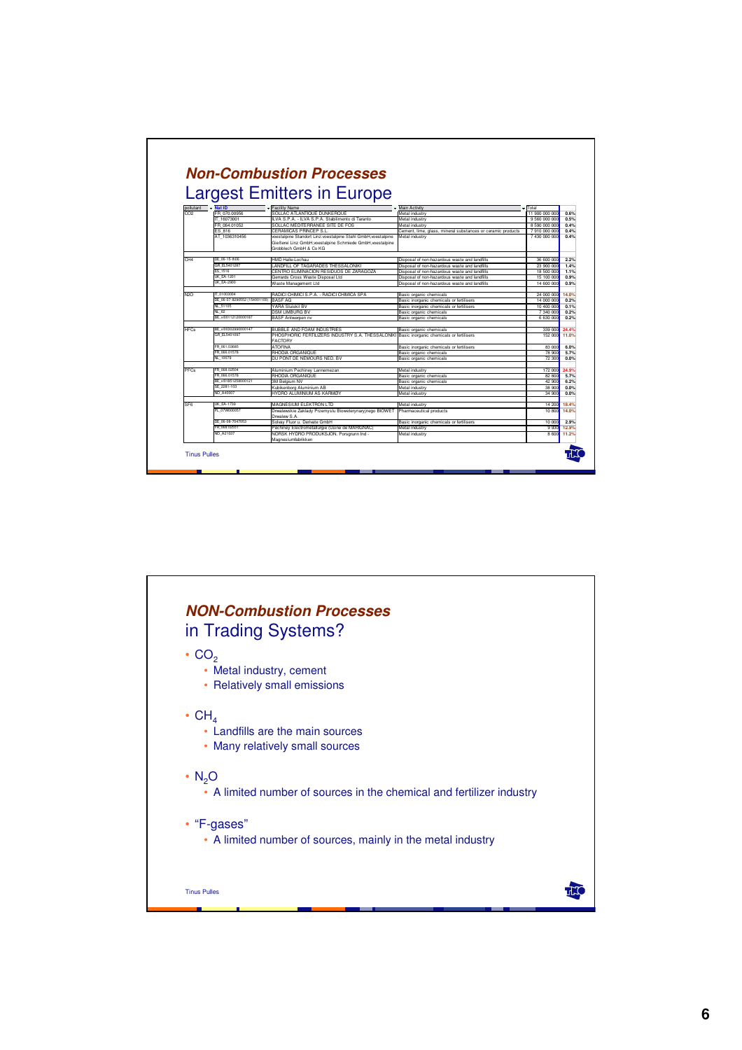| <b>Largest Emitters in Europe</b> |                              |                                                                                    |                                                             |                          |       |  |  |  |
|-----------------------------------|------------------------------|------------------------------------------------------------------------------------|-------------------------------------------------------------|--------------------------|-------|--|--|--|
| pollutant                         | $-$ Nat ID                   | - Facility Name                                                                    | - Main Activity                                             | - Total                  |       |  |  |  |
| CO <sub>2</sub>                   | FR 070 00956                 | SOLLAC ATLANTIQUE DUNKERQUE                                                        | Metal industry                                              | 11,900,000,000           | 0.6%  |  |  |  |
|                                   | IT 16073001                  | ILVA S.P.A. - ILVA S.P.A. Stabilimento di Taranto                                  | Metal industry                                              | 9 560 000 000            | 0.5%  |  |  |  |
|                                   | FR 064.01052                 | SOLLAC MEDITERRANEE SITE DE FOS                                                    | Metal industry                                              | 8 590 000 000            | 0.4%  |  |  |  |
|                                   | ES 816                       | CERAMICAS PRINCEP S.L                                                              | Cement, lime, glass, mineral substances or ceramic products | 7910000000               | 0.4%  |  |  |  |
|                                   | AT 1036310456                | voestalpine Standort Linz:voestalpine Stahl GmbH.voestalpine                       | Metal industry                                              | 7 430 000 000            | 0.4%  |  |  |  |
|                                   |                              | Gießerei Linz GmbH.voestalpine Schmiede GmbH.voestalpine<br>Grobblech GmbH & Co KG |                                                             |                          |       |  |  |  |
| CH <sub>4</sub>                   | DE 06-15-th06                | HMD Halle-Lochau                                                                   | Disposal of non-hazardous waste and landfills               | 36 600 000               | 2.2%  |  |  |  |
|                                   | GR FL5401287                 | LANDFILL OF TAGARADES THESSALONIKI                                                 | Disposal of non-hazardous waste and landfills               | 23 900 000               | 1.4%  |  |  |  |
|                                   | ES 1516                      | CENTRO ELIMINACION RESIDUOS DE ZARAGOZA                                            | Disposal of non-hazardous waste and landfills               |                          | 1.1%  |  |  |  |
|                                   | <b>UK EA-1201</b>            | Gerrards Cross Waste Disposal Ltd.                                                 | Disposal of non-hazardous waste and landfills               | 18 500 000<br>15 100 000 | 0.9%  |  |  |  |
|                                   | <b>IK FA-2900</b>            | Waste Management Ltd                                                               | Disposal of non-hazardous waste and landfills               | 14 600 000               | 0.9%  |  |  |  |
|                                   |                              |                                                                                    |                                                             |                          |       |  |  |  |
| N20                               | IT 01003004                  | RADICI CHIMICI S.P.A. - RADICI CHIMICA SPA                                         | Basic organic chemicals                                     | 24 000 000               | 14.0% |  |  |  |
|                                   | DE 06-07-8290552 (154001100) | <b>BASF AG</b>                                                                     | Basic inorganic chemicals or fertilisers                    | 14 000 000               | 0.2%  |  |  |  |
|                                   | NL 51105                     | YARA Sluiskil BV                                                                   | Basic inorganic chemicals or fertilisers                    | 10 400 000               | 0.1%  |  |  |  |
|                                   | <b>NL 62</b>                 | <b>DSM LIMBURG BV</b>                                                              | Basic organic chemicals                                     | 7 340 000                | 0.2%  |  |  |  |
|                                   | RF v00112120000187           | <b>BASF Antwerpen nv</b>                                                           | Basic organic chemicals                                     | 6 630 000                | 0.2%  |  |  |  |
| <b>HFCs</b>                       | BE vl00302990000147          | <b>BUBBLE AND FOAM INDUSTRIES</b>                                                  | Basic organic chemicals                                     | 339 000                  | 24.4% |  |  |  |
|                                   | GR EL5401097                 | PHOSPHORIC FERTILIZERS INDUSTRY S.A. THESSALONIK<br><b>FACTORY</b>                 | Basic inorganic chemicals or fertilisers                    | 152 000                  | 11.0% |  |  |  |
|                                   | FR 061.03685                 | <b>ATOFINA</b>                                                                     | Basic inorganic chemicals or fertilisers                    | 83 000                   | 6.0%  |  |  |  |
|                                   | FR 066,01578                 | RHODIA ORGANIQUE                                                                   | Basic organic chemicals                                     | 78 900                   | 5.7%  |  |  |  |
|                                   | NL 10079                     | DU PONT DE NEMOURS NED. BV                                                         | Basic organic chemicals                                     | 72 300                   | 0.0%  |  |  |  |
| PFCs                              | FR 068.02504                 | Aluminium Pechiney Lannemezan                                                      | Metal industry                                              | 172 000                  | 24.9% |  |  |  |
|                                   | FR 066,01578                 | RHODIA ORGANIQUE                                                                   | Basic organic chemicals                                     | 82 800                   | 5.7%  |  |  |  |
|                                   | BE vl01851258000121          | 3M Belgium NV                                                                      | Basic organic chemicals                                     | 42 900                   | 6.2%  |  |  |  |
|                                   | SE 2281-103                  | Kubikenborg Aluminium AB                                                           | Metal industry                                              | 38 900                   | 0.0%  |  |  |  |
|                                   | NO A40007                    | HYDRO ALUMINIUM AS KARMØY                                                          | Metal industry                                              | 34 900                   | 0.0%  |  |  |  |
| SF <sub>6</sub>                   | <b>UK EA-1739</b>            | MAGNESIUM ELEKTRON LTD                                                             | Metal industry                                              | 14 200                   | 18.4% |  |  |  |
|                                   | PL 07W000057                 | Drwalewskie Zaklady Przemyslu Bioweterynaryinego BIOWET<br>Drwalew S.A.            | Pharmaceutical products                                     | 10 800                   | 14.0% |  |  |  |
|                                   | DE 06-08-7047053             | Solvay Fluor u. Derivate GmbH                                                      | Basic inorganic chemicals or fertilisers                    | 10 000                   | 2.9%  |  |  |  |
|                                   | FR 068.02551                 | Péchiney Electrométallurgie (Usine de MARIGNAC)                                    | Metal industry                                              | 9 9 3 0                  | 12.9% |  |  |  |
|                                   | NO A21037                    | NORSK HYDRO PRODUKSJON, Porsarunn Ind -<br>Magnesiumfabrikken                      | Metal industry                                              | 8 600                    | 11.2% |  |  |  |